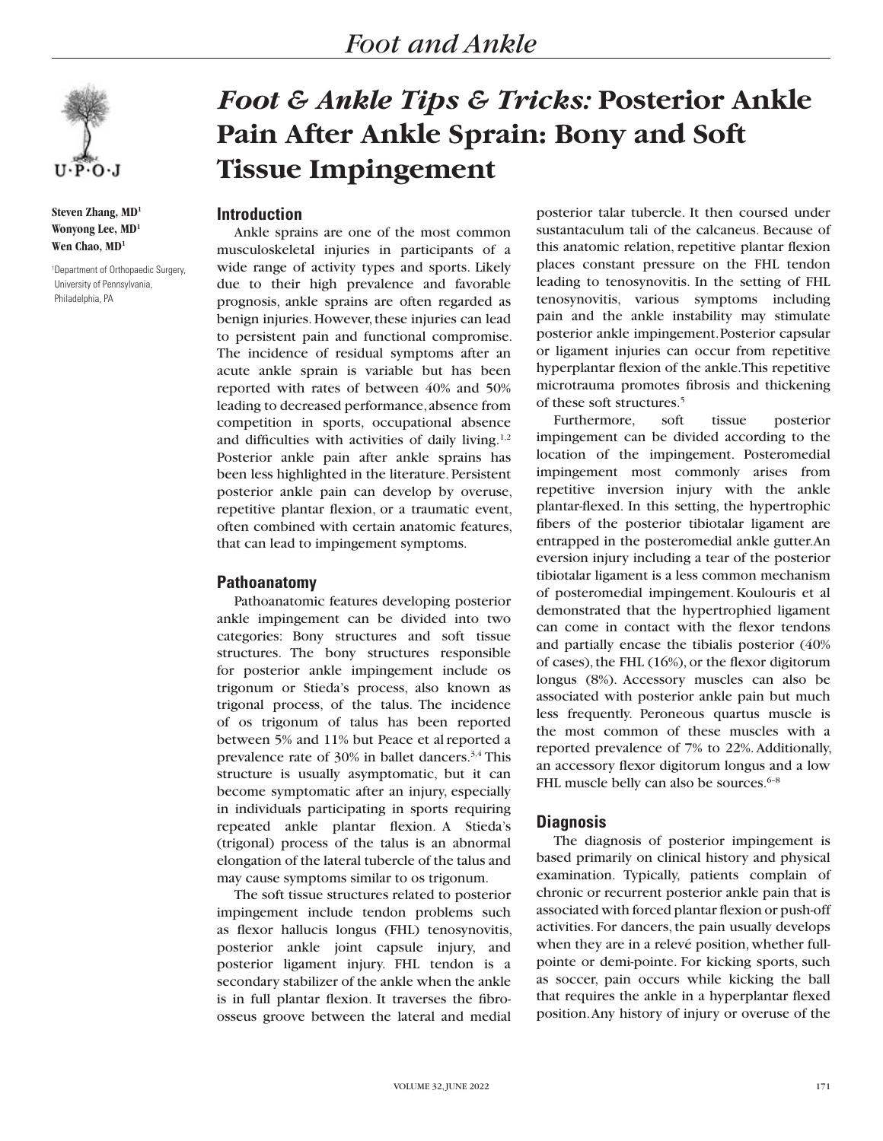

**Steven Zhang, MD1 Wonyong Lee, MD1 Wen Chao, MD1**

1 Department of Orthopaedic Surgery, University of Pennsylvania, Philadelphia, PA

# *Foot & Ankle Tips & Tricks:* **Posterior Ankle Pain After Ankle Sprain: Bony and Soft Tissue Impingement**

# **Introduction**

Ankle sprains are one of the most common musculoskeletal injuries in participants of a wide range of activity types and sports. Likely due to their high prevalence and favorable prognosis, ankle sprains are often regarded as benign injuries. However, these injuries can lead to persistent pain and functional compromise. The incidence of residual symptoms after an acute ankle sprain is variable but has been reported with rates of between 40% and 50% leading to decreased performance, absence from competition in sports, occupational absence and difficulties with activities of daily living.<sup>1,2</sup> Posterior ankle pain after ankle sprains has been less highlighted in the literature. Persistent posterior ankle pain can develop by overuse, repetitive plantar flexion, or a traumatic event, often combined with certain anatomic features, that can lead to impingement symptoms.

## **Pathoanatomy**

Pathoanatomic features developing posterior ankle impingement can be divided into two categories: Bony structures and soft tissue structures. The bony structures responsible for posterior ankle impingement include os trigonum or Stieda's process, also known as trigonal process, of the talus. The incidence of os trigonum of talus has been reported between 5% and 11% but Peace et al reported a prevalence rate of 30% in ballet dancers.3,4 This structure is usually asymptomatic, but it can become symptomatic after an injury, especially in individuals participating in sports requiring repeated ankle plantar flexion. A Stieda's (trigonal) process of the talus is an abnormal elongation of the lateral tubercle of the talus and may cause symptoms similar to os trigonum.

The soft tissue structures related to posterior impingement include tendon problems such as flexor hallucis longus (FHL) tenosynovitis, posterior ankle joint capsule injury, and posterior ligament injury. FHL tendon is a secondary stabilizer of the ankle when the ankle is in full plantar flexion. It traverses the fibroosseus groove between the lateral and medial

posterior talar tubercle. It then coursed under sustantaculum tali of the calcaneus. Because of this anatomic relation, repetitive plantar flexion places constant pressure on the FHL tendon leading to tenosynovitis. In the setting of FHL tenosynovitis, various symptoms including pain and the ankle instability may stimulate posterior ankle impingement.Posterior capsular or ligament injuries can occur from repetitive hyperplantar flexion of the ankle. This repetitive microtrauma promotes fibrosis and thickening of these soft structures.5

Furthermore, soft tissue posterior impingement can be divided according to the location of the impingement. Posteromedial impingement most commonly arises from repetitive inversion injury with the ankle plantar-flexed. In this setting, the hypertrophic fibers of the posterior tibiotalar ligament are entrapped in the posteromedial ankle gutter.An eversion injury including a tear of the posterior tibiotalar ligament is a less common mechanism of posteromedial impingement. Koulouris et al demonstrated that the hypertrophied ligament can come in contact with the flexor tendons and partially encase the tibialis posterior (40% of cases), the FHL (16%), or the flexor digitorum longus (8%). Accessory muscles can also be associated with posterior ankle pain but much less frequently. Peroneous quartus muscle is the most common of these muscles with a reported prevalence of 7% to 22%. Additionally, an accessory flexor digitorum longus and a low FHL muscle belly can also be sources.<sup>6-8</sup>

## **Diagnosis**

The diagnosis of posterior impingement is based primarily on clinical history and physical examination. Typically, patients complain of chronic or recurrent posterior ankle pain that is associated with forced plantar flexion or push-off activities. For dancers, the pain usually develops when they are in a relevé position, whether fullpointe or demi-pointe. For kicking sports, such as soccer, pain occurs while kicking the ball that requires the ankle in a hyperplantar flexed position. Any history of injury or overuse of the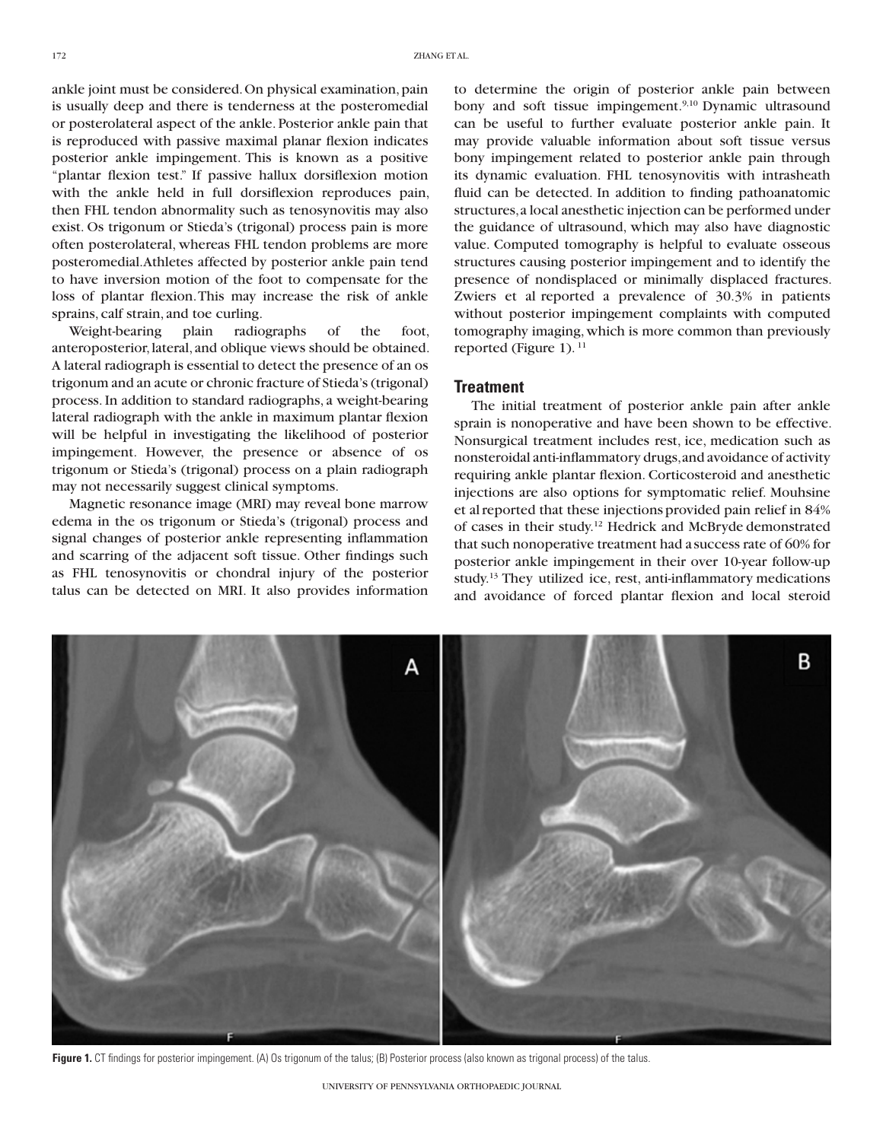ankle joint must be considered. On physical examination, pain is usually deep and there is tenderness at the posteromedial or posterolateral aspect of the ankle. Posterior ankle pain that is reproduced with passive maximal planar flexion indicates posterior ankle impingement. This is known as a positive "plantar flexion test." If passive hallux dorsiflexion motion with the ankle held in full dorsiflexion reproduces pain, then FHL tendon abnormality such as tenosynovitis may also exist. Os trigonum or Stieda's (trigonal) process pain is more often posterolateral, whereas FHL tendon problems are more posteromedial.Athletes affected by posterior ankle pain tend to have inversion motion of the foot to compensate for the loss of plantar flexion.This may increase the risk of ankle sprains, calf strain, and toe curling.

Weight-bearing plain radiographs of the foot, anteroposterior, lateral, and oblique views should be obtained. A lateral radiograph is essential to detect the presence of an os trigonum and an acute or chronic fracture of Stieda's (trigonal) process. In addition to standard radiographs, a weight-bearing lateral radiograph with the ankle in maximum plantar flexion will be helpful in investigating the likelihood of posterior impingement. However, the presence or absence of os trigonum or Stieda's (trigonal) process on a plain radiograph may not necessarily suggest clinical symptoms.

Magnetic resonance image (MRI) may reveal bone marrow edema in the os trigonum or Stieda's (trigonal) process and signal changes of posterior ankle representing inflammation and scarring of the adjacent soft tissue. Other findings such as FHL tenosynovitis or chondral injury of the posterior talus can be detected on MRI. It also provides information to determine the origin of posterior ankle pain between bony and soft tissue impingement.<sup>9,10</sup> Dynamic ultrasound can be useful to further evaluate posterior ankle pain. It may provide valuable information about soft tissue versus bony impingement related to posterior ankle pain through its dynamic evaluation. FHL tenosynovitis with intrasheath fluid can be detected. In addition to finding pathoanatomic structures, a local anesthetic injection can be performed under the guidance of ultrasound, which may also have diagnostic value. Computed tomography is helpful to evaluate osseous structures causing posterior impingement and to identify the presence of nondisplaced or minimally displaced fractures. Zwiers et al reported a prevalence of 30.3% in patients without posterior impingement complaints with computed tomography imaging, which is more common than previously reported (Figure 1).<sup>11</sup>

#### **Treatment**

The initial treatment of posterior ankle pain after ankle sprain is nonoperative and have been shown to be effective. Nonsurgical treatment includes rest, ice, medication such as nonsteroidal anti-inflammatory drugs, and avoidance of activity requiring ankle plantar flexion. Corticosteroid and anesthetic injections are also options for symptomatic relief. Mouhsine et al reported that these injections provided pain relief in 84% of cases in their study.12 Hedrick and McBryde demonstrated that such nonoperative treatment had a success rate of 60% for posterior ankle impingement in their over 10-year follow-up study.13 They utilized ice, rest, anti-inflammatory medications and avoidance of forced plantar flexion and local steroid



**Figure 1.** CT findings for posterior impingement. (A) Os trigonum of the talus; (B) Posterior process (also known as trigonal process) of the talus.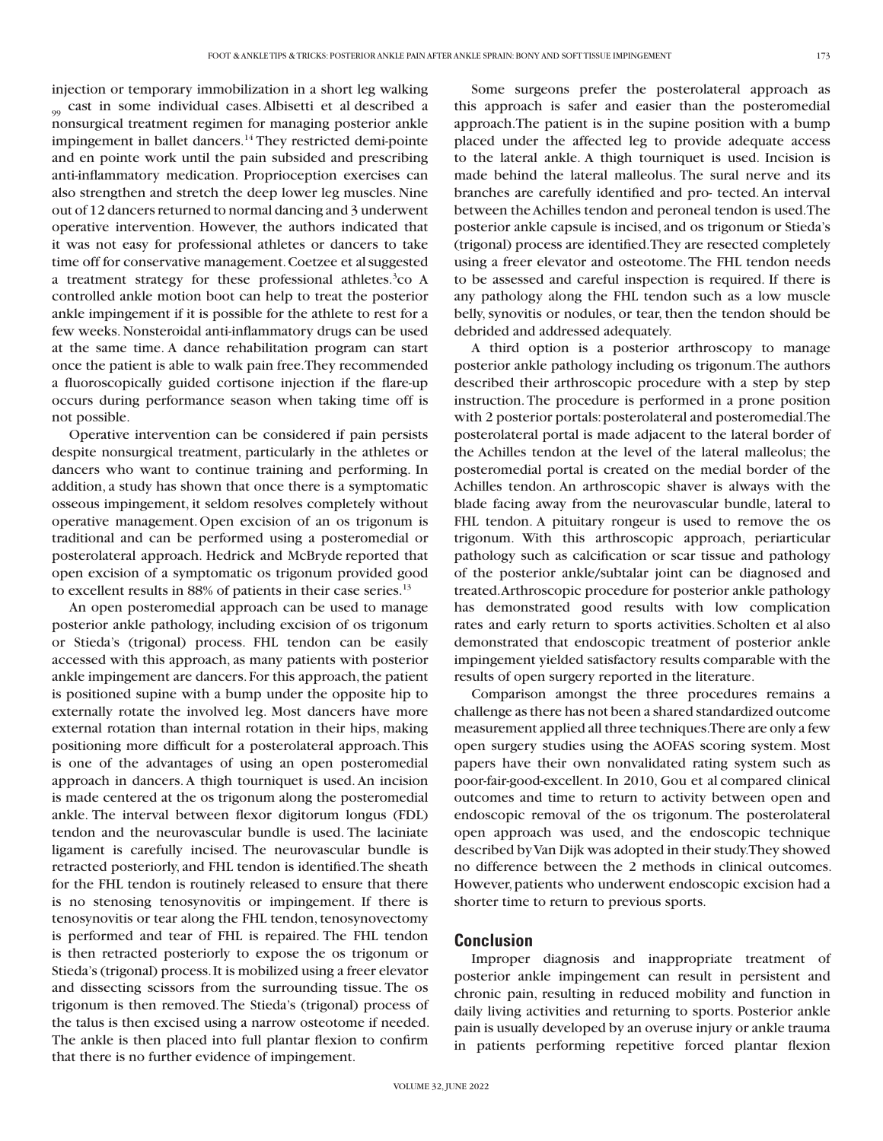injection or temporary immobilization in a short leg walking <sub>99</sub> cast in some individual cases. Albisetti et al described a nonsurgical treatment regimen for managing posterior ankle impingement in ballet dancers.<sup>14</sup> They restricted demi-pointe and en pointe work until the pain subsided and prescribing anti-inflammatory medication. Proprioception exercises can also strengthen and stretch the deep lower leg muscles. Nine out of 12 dancers returned to normal dancing and 3 underwent operative intervention. However, the authors indicated that it was not easy for professional athletes or dancers to take time off for conservative management. Coetzee et alsuggested a treatment strategy for these professional athletes.<sup>3</sup>co A controlled ankle motion boot can help to treat the posterior ankle impingement if it is possible for the athlete to rest for a few weeks. Nonsteroidal anti-inflammatory drugs can be used at the same time. A dance rehabilitation program can start once the patient is able to walk pain free. They recommended a fluoroscopically guided cortisone injection if the flare-up occurs during performance season when taking time off is not possible.

Operative intervention can be considered if pain persists despite nonsurgical treatment, particularly in the athletes or dancers who want to continue training and performing. In addition, a study has shown that once there is a symptomatic osseous impingement, it seldom resolves completely without operative management.Open excision of an os trigonum is traditional and can be performed using a posteromedial or posterolateral approach. Hedrick and McBryde reported that open excision of a symptomatic os trigonum provided good to excellent results in 88% of patients in their case series.<sup>13</sup>

An open posteromedial approach can be used to manage posterior ankle pathology, including excision of os trigonum or Stieda's (trigonal) process. FHL tendon can be easily accessed with this approach, as many patients with posterior ankle impingement are dancers. For this approach, the patient is positioned supine with a bump under the opposite hip to externally rotate the involved leg. Most dancers have more external rotation than internal rotation in their hips, making positioning more difficult for a posterolateral approach. This is one of the advantages of using an open posteromedial approach in dancers. A thigh tourniquet is used. An incision is made centered at the os trigonum along the posteromedial ankle. The interval between flexor digitorum longus (FDL) tendon and the neurovascular bundle is used. The laciniate ligament is carefully incised. The neurovascular bundle is retracted posteriorly, and FHL tendon is identified. The sheath for the FHL tendon is routinely released to ensure that there is no stenosing tenosynovitis or impingement. If there is tenosynovitis or tear along the FHL tendon, tenosynovectomy is performed and tear of FHL is repaired. The FHL tendon is then retracted posteriorly to expose the os trigonum or Stieda's (trigonal) process. It is mobilized using a freer elevator and dissecting scissors from the surrounding tissue. The os trigonum is then removed. The Stieda's (trigonal) process of the talus is then excised using a narrow osteotome if needed. The ankle is then placed into full plantar flexion to confirm that there is no further evidence of impingement.

Some surgeons prefer the posterolateral approach as this approach is safer and easier than the posteromedial approach.The patient is in the supine position with a bump placed under the affected leg to provide adequate access to the lateral ankle. A thigh tourniquet is used. Incision is made behind the lateral malleolus. The sural nerve and its branches are carefully identified and pro- tected. An interval between the Achilles tendon and peroneal tendon is used. The posterior ankle capsule is incised, and os trigonum or Stieda's (trigonal) process are identified. They are resected completely using a freer elevator and osteotome. The FHL tendon needs to be assessed and careful inspection is required. If there is any pathology along the FHL tendon such as a low muscle belly, synovitis or nodules, or tear, then the tendon should be debrided and addressed adequately.

A third option is a posterior arthroscopy to manage posterior ankle pathology including os trigonum. The authors described their arthroscopic procedure with a step by step instruction. The procedure is performed in a prone position with 2 posterior portals: posterolateral and posteromedial. The posterolateral portal is made adjacent to the lateral border of the Achilles tendon at the level of the lateral malleolus; the posteromedial portal is created on the medial border of the Achilles tendon. An arthroscopic shaver is always with the blade facing away from the neurovascular bundle, lateral to FHL tendon. A pituitary rongeur is used to remove the os trigonum. With this arthroscopic approach, periarticular pathology such as calcification or scar tissue and pathology of the posterior ankle/subtalar joint can be diagnosed and treated. Arthroscopic procedure for posterior ankle pathology has demonstrated good results with low complication rates and early return to sports activities.Scholten et al also demonstrated that endoscopic treatment of posterior ankle impingement yielded satisfactory results comparable with the results of open surgery reported in the literature.

Comparison amongst the three procedures remains a challenge as there has not been a shared standardized outcome measurement applied all three techniques. There are only a few open surgery studies using the AOFAS scoring system. Most papers have their own nonvalidated rating system such as poor-fair-good-excellent. In 2010, Gou et al compared clinical outcomes and time to return to activity between open and endoscopic removal of the os trigonum. The posterolateral open approach was used, and the endoscopic technique described by Van Dijk was adopted in their study. They showed no difference between the 2 methods in clinical outcomes. However, patients who underwent endoscopic excision had a shorter time to return to previous sports.

#### **Conclusion**

Improper diagnosis and inappropriate treatment of posterior ankle impingement can result in persistent and chronic pain, resulting in reduced mobility and function in daily living activities and returning to sports. Posterior ankle pain is usually developed by an overuse injury or ankle trauma in patients performing repetitive forced plantar flexion